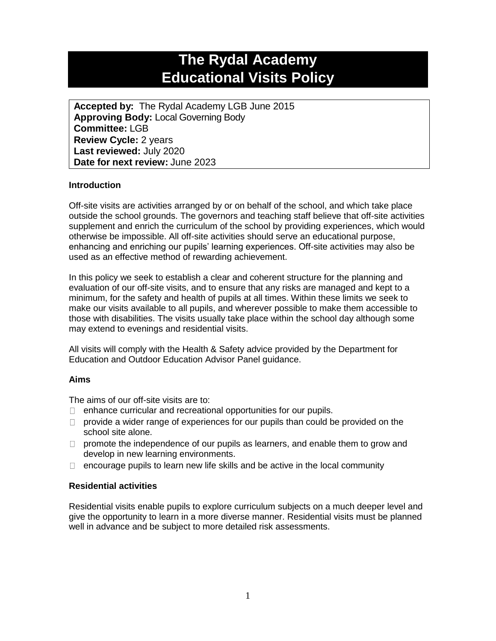# **The Rydal Academy Educational Visits Policy**

**Accepted by:** The Rydal Academy LGB June 2015 **Approving Body:** Local Governing Body **Committee:** LGB **Review Cycle:** 2 years **Last reviewed:** July 2020 **Date for next review:** June 2023

# **Introduction**

Off-site visits are activities arranged by or on behalf of the school, and which take place outside the school grounds. The governors and teaching staff believe that off-site activities supplement and enrich the curriculum of the school by providing experiences, which would otherwise be impossible. All off-site activities should serve an educational purpose, enhancing and enriching our pupils' learning experiences. Off-site activities may also be used as an effective method of rewarding achievement.

In this policy we seek to establish a clear and coherent structure for the planning and evaluation of our off-site visits, and to ensure that any risks are managed and kept to a minimum, for the safety and health of pupils at all times. Within these limits we seek to make our visits available to all pupils, and wherever possible to make them accessible to those with disabilities. The visits usually take place within the school day although some may extend to evenings and residential visits.

All visits will comply with the Health & Safety advice provided by the Department for Education and Outdoor Education Advisor Panel guidance.

## **Aims**

The aims of our off-site visits are to:

- $\Box$  enhance curricular and recreational opportunities for our pupils.
- $\Box$  provide a wider range of experiences for our pupils than could be provided on the school site alone.
- $\Box$  promote the independence of our pupils as learners, and enable them to grow and develop in new learning environments.
- $\Box$  encourage pupils to learn new life skills and be active in the local community

## **Residential activities**

Residential visits enable pupils to explore curriculum subjects on a much deeper level and give the opportunity to learn in a more diverse manner. Residential visits must be planned well in advance and be subject to more detailed risk assessments.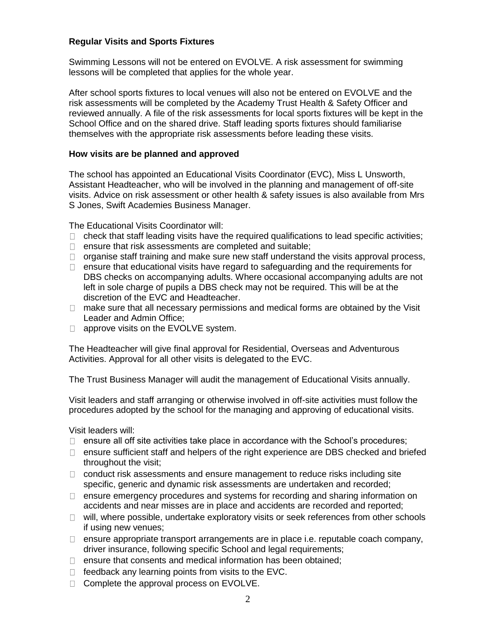## **Regular Visits and Sports Fixtures**

Swimming Lessons will not be entered on EVOLVE. A risk assessment for swimming lessons will be completed that applies for the whole year.

After school sports fixtures to local venues will also not be entered on EVOLVE and the risk assessments will be completed by the Academy Trust Health & Safety Officer and reviewed annually. A file of the risk assessments for local sports fixtures will be kept in the School Office and on the shared drive. Staff leading sports fixtures should familiarise themselves with the appropriate risk assessments before leading these visits.

#### **How visits are be planned and approved**

The school has appointed an Educational Visits Coordinator (EVC), Miss L Unsworth, Assistant Headteacher, who will be involved in the planning and management of off-site visits. Advice on risk assessment or other health & safety issues is also available from Mrs S Jones, Swift Academies Business Manager.

The Educational Visits Coordinator will:

- $\Box$  check that staff leading visits have the required qualifications to lead specific activities;
- $\Box$  ensure that risk assessments are completed and suitable;
- $\Box$  organise staff training and make sure new staff understand the visits approval process,
- $\Box$  ensure that educational visits have regard to safeguarding and the requirements for DBS checks on accompanying adults. Where occasional accompanying adults are not left in sole charge of pupils a DBS check may not be required. This will be at the discretion of the EVC and Headteacher.
- $\Box$  make sure that all necessary permissions and medical forms are obtained by the Visit Leader and Admin Office;
- $\Box$  approve visits on the EVOLVE system.

The Headteacher will give final approval for Residential, Overseas and Adventurous Activities. Approval for all other visits is delegated to the EVC.

The Trust Business Manager will audit the management of Educational Visits annually.

Visit leaders and staff arranging or otherwise involved in off-site activities must follow the procedures adopted by the school for the managing and approving of educational visits.

Visit leaders will:

- $\Box$  ensure all off site activities take place in accordance with the School's procedures;
- $\Box$  ensure sufficient staff and helpers of the right experience are DBS checked and briefed throughout the visit;
- $\Box$  conduct risk assessments and ensure management to reduce risks including site specific, generic and dynamic risk assessments are undertaken and recorded;
- $\Box$  ensure emergency procedures and systems for recording and sharing information on accidents and near misses are in place and accidents are recorded and reported;
- $\Box$  will, where possible, undertake exploratory visits or seek references from other schools if using new venues;
- $\Box$  ensure appropriate transport arrangements are in place i.e. reputable coach company, driver insurance, following specific School and legal requirements;
- $\Box$  ensure that consents and medical information has been obtained:
- $\Box$  feedback any learning points from visits to the EVC.
- □ Complete the approval process on EVOLVE.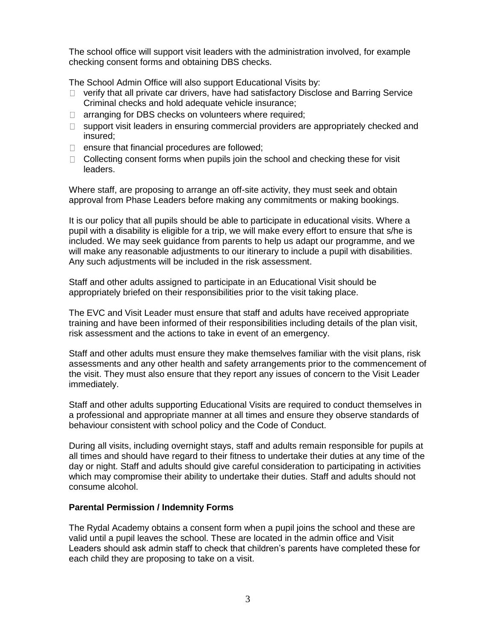The school office will support visit leaders with the administration involved, for example checking consent forms and obtaining DBS checks.

The School Admin Office will also support Educational Visits by:

- $\Box$  verify that all private car drivers, have had satisfactory Disclose and Barring Service Criminal checks and hold adequate vehicle insurance;
- $\Box$  arranging for DBS checks on volunteers where required;
- $\Box$  support visit leaders in ensuring commercial providers are appropriately checked and insured;
- $\Box$  ensure that financial procedures are followed;
- $\Box$  Collecting consent forms when pupils join the school and checking these for visit leaders.

Where staff, are proposing to arrange an off-site activity, they must seek and obtain approval from Phase Leaders before making any commitments or making bookings.

It is our policy that all pupils should be able to participate in educational visits. Where a pupil with a disability is eligible for a trip, we will make every effort to ensure that s/he is included. We may seek guidance from parents to help us adapt our programme, and we will make any reasonable adjustments to our itinerary to include a pupil with disabilities. Any such adjustments will be included in the risk assessment.

Staff and other adults assigned to participate in an Educational Visit should be appropriately briefed on their responsibilities prior to the visit taking place.

The EVC and Visit Leader must ensure that staff and adults have received appropriate training and have been informed of their responsibilities including details of the plan visit, risk assessment and the actions to take in event of an emergency.

Staff and other adults must ensure they make themselves familiar with the visit plans, risk assessments and any other health and safety arrangements prior to the commencement of the visit. They must also ensure that they report any issues of concern to the Visit Leader immediately.

Staff and other adults supporting Educational Visits are required to conduct themselves in a professional and appropriate manner at all times and ensure they observe standards of behaviour consistent with school policy and the Code of Conduct.

During all visits, including overnight stays, staff and adults remain responsible for pupils at all times and should have regard to their fitness to undertake their duties at any time of the day or night. Staff and adults should give careful consideration to participating in activities which may compromise their ability to undertake their duties. Staff and adults should not consume alcohol.

## **Parental Permission / Indemnity Forms**

The Rydal Academy obtains a consent form when a pupil joins the school and these are valid until a pupil leaves the school. These are located in the admin office and Visit Leaders should ask admin staff to check that children's parents have completed these for each child they are proposing to take on a visit.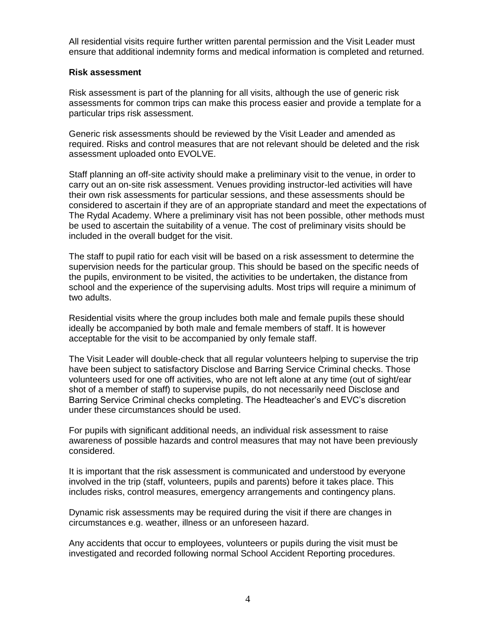All residential visits require further written parental permission and the Visit Leader must ensure that additional indemnity forms and medical information is completed and returned.

#### **Risk assessment**

Risk assessment is part of the planning for all visits, although the use of generic risk assessments for common trips can make this process easier and provide a template for a particular trips risk assessment.

Generic risk assessments should be reviewed by the Visit Leader and amended as required. Risks and control measures that are not relevant should be deleted and the risk assessment uploaded onto EVOLVE.

Staff planning an off-site activity should make a preliminary visit to the venue, in order to carry out an on-site risk assessment. Venues providing instructor-led activities will have their own risk assessments for particular sessions, and these assessments should be considered to ascertain if they are of an appropriate standard and meet the expectations of The Rydal Academy. Where a preliminary visit has not been possible, other methods must be used to ascertain the suitability of a venue. The cost of preliminary visits should be included in the overall budget for the visit.

The staff to pupil ratio for each visit will be based on a risk assessment to determine the supervision needs for the particular group. This should be based on the specific needs of the pupils, environment to be visited, the activities to be undertaken, the distance from school and the experience of the supervising adults. Most trips will require a minimum of two adults.

Residential visits where the group includes both male and female pupils these should ideally be accompanied by both male and female members of staff. It is however acceptable for the visit to be accompanied by only female staff.

The Visit Leader will double-check that all regular volunteers helping to supervise the trip have been subject to satisfactory Disclose and Barring Service Criminal checks. Those volunteers used for one off activities, who are not left alone at any time (out of sight/ear shot of a member of staff) to supervise pupils, do not necessarily need Disclose and Barring Service Criminal checks completing. The Headteacher's and EVC's discretion under these circumstances should be used.

For pupils with significant additional needs, an individual risk assessment to raise awareness of possible hazards and control measures that may not have been previously considered.

It is important that the risk assessment is communicated and understood by everyone involved in the trip (staff, volunteers, pupils and parents) before it takes place. This includes risks, control measures, emergency arrangements and contingency plans.

Dynamic risk assessments may be required during the visit if there are changes in circumstances e.g. weather, illness or an unforeseen hazard.

Any accidents that occur to employees, volunteers or pupils during the visit must be investigated and recorded following normal School Accident Reporting procedures.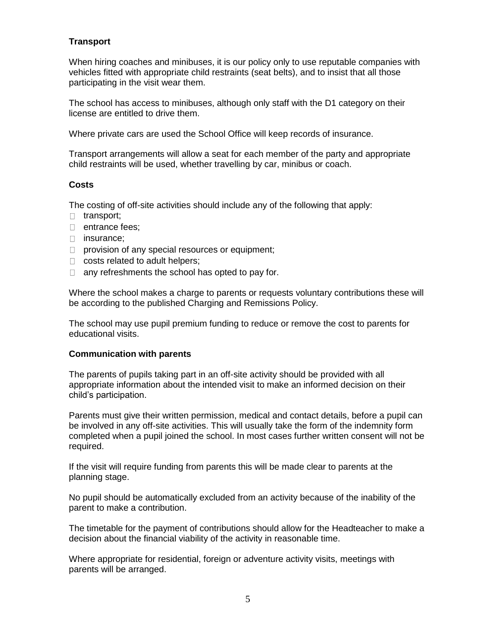# **Transport**

When hiring coaches and minibuses, it is our policy only to use reputable companies with vehicles fitted with appropriate child restraints (seat belts), and to insist that all those participating in the visit wear them.

The school has access to minibuses, although only staff with the D1 category on their license are entitled to drive them.

Where private cars are used the School Office will keep records of insurance.

Transport arrangements will allow a seat for each member of the party and appropriate child restraints will be used, whether travelling by car, minibus or coach.

## **Costs**

The costing of off-site activities should include any of the following that apply:

- □ transport:
- □ entrance fees;
- □ insurance;
- $\Box$  provision of any special resources or equipment;
- $\Box$  costs related to adult helpers;
- $\Box$  any refreshments the school has opted to pay for.

Where the school makes a charge to parents or requests voluntary contributions these will be according to the published Charging and Remissions Policy.

The school may use pupil premium funding to reduce or remove the cost to parents for educational visits.

#### **Communication with parents**

The parents of pupils taking part in an off-site activity should be provided with all appropriate information about the intended visit to make an informed decision on their child's participation.

Parents must give their written permission, medical and contact details, before a pupil can be involved in any off-site activities. This will usually take the form of the indemnity form completed when a pupil joined the school. In most cases further written consent will not be required.

If the visit will require funding from parents this will be made clear to parents at the planning stage.

No pupil should be automatically excluded from an activity because of the inability of the parent to make a contribution.

The timetable for the payment of contributions should allow for the Headteacher to make a decision about the financial viability of the activity in reasonable time.

Where appropriate for residential, foreign or adventure activity visits, meetings with parents will be arranged.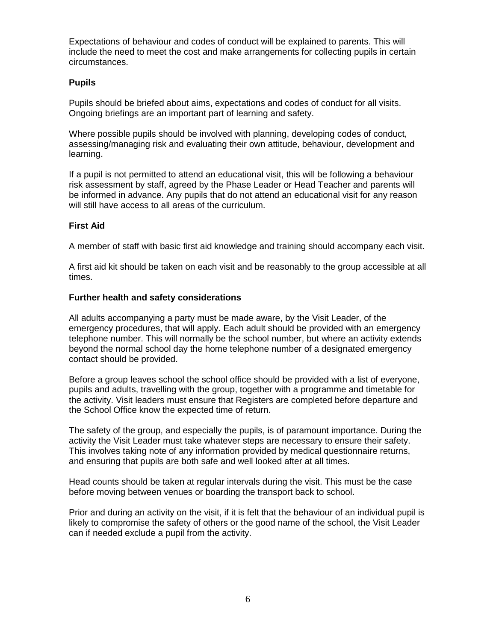Expectations of behaviour and codes of conduct will be explained to parents. This will include the need to meet the cost and make arrangements for collecting pupils in certain circumstances.

## **Pupils**

Pupils should be briefed about aims, expectations and codes of conduct for all visits. Ongoing briefings are an important part of learning and safety.

Where possible pupils should be involved with planning, developing codes of conduct, assessing/managing risk and evaluating their own attitude, behaviour, development and learning.

If a pupil is not permitted to attend an educational visit, this will be following a behaviour risk assessment by staff, agreed by the Phase Leader or Head Teacher and parents will be informed in advance. Any pupils that do not attend an educational visit for any reason will still have access to all areas of the curriculum.

# **First Aid**

A member of staff with basic first aid knowledge and training should accompany each visit.

A first aid kit should be taken on each visit and be reasonably to the group accessible at all times.

## **Further health and safety considerations**

All adults accompanying a party must be made aware, by the Visit Leader, of the emergency procedures, that will apply. Each adult should be provided with an emergency telephone number. This will normally be the school number, but where an activity extends beyond the normal school day the home telephone number of a designated emergency contact should be provided.

Before a group leaves school the school office should be provided with a list of everyone, pupils and adults, travelling with the group, together with a programme and timetable for the activity. Visit leaders must ensure that Registers are completed before departure and the School Office know the expected time of return.

The safety of the group, and especially the pupils, is of paramount importance. During the activity the Visit Leader must take whatever steps are necessary to ensure their safety. This involves taking note of any information provided by medical questionnaire returns, and ensuring that pupils are both safe and well looked after at all times.

Head counts should be taken at regular intervals during the visit. This must be the case before moving between venues or boarding the transport back to school.

Prior and during an activity on the visit, if it is felt that the behaviour of an individual pupil is likely to compromise the safety of others or the good name of the school, the Visit Leader can if needed exclude a pupil from the activity.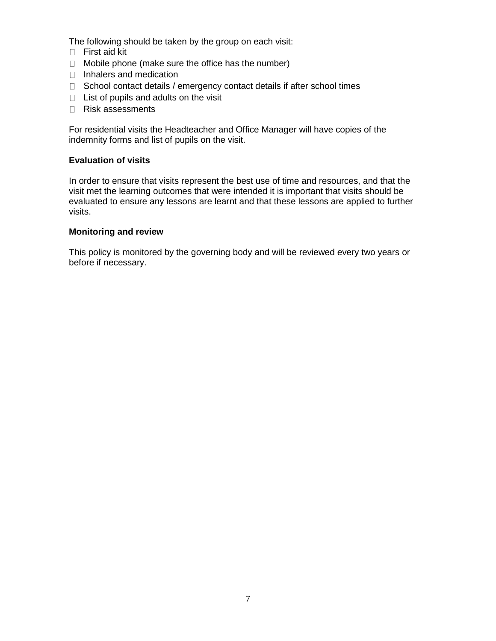The following should be taken by the group on each visit:

- First aid kit
- $\Box$  Mobile phone (make sure the office has the number)
- □ Inhalers and medication
- $\Box$  School contact details / emergency contact details if after school times
- $\Box$  List of pupils and adults on the visit
- Risk assessments

For residential visits the Headteacher and Office Manager will have copies of the indemnity forms and list of pupils on the visit.

## **Evaluation of visits**

In order to ensure that visits represent the best use of time and resources, and that the visit met the learning outcomes that were intended it is important that visits should be evaluated to ensure any lessons are learnt and that these lessons are applied to further visits.

#### **Monitoring and review**

This policy is monitored by the governing body and will be reviewed every two years or before if necessary.